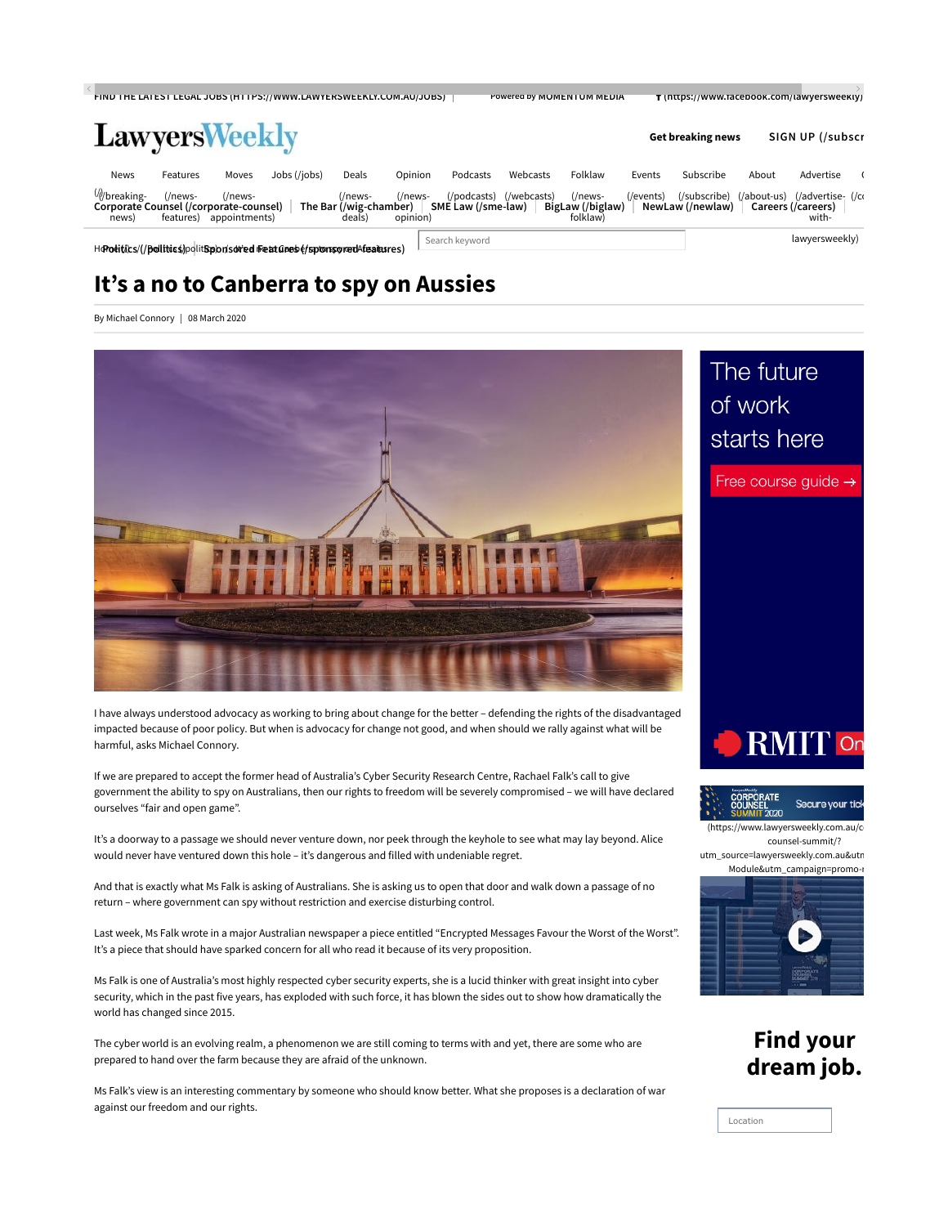| FIND THE LATEST LEGAL JUBS (HTTPS://WWW.LAWTERSWEEKLY.COM.AU/JUBS) |                      |                             |                                                                          |                                             |                     |                    |                         | POWERED BY MUMENTUM MEDIA               |           | T (https://www.facebook.com/lawyersweekly) |       |                                                              |  |
|--------------------------------------------------------------------|----------------------|-----------------------------|--------------------------------------------------------------------------|---------------------------------------------|---------------------|--------------------|-------------------------|-----------------------------------------|-----------|--------------------------------------------|-------|--------------------------------------------------------------|--|
| <b>LawyersWeekly</b>                                               |                      |                             |                                                                          |                                             |                     |                    |                         |                                         |           | Get breaking news                          |       | SIGN UP (/subscr                                             |  |
| <b>News</b>                                                        | Features             | Moves                       | Jobs (/jobs)                                                             | Deals                                       | Opinion             | Podcasts           | Webcasts                | Folklaw                                 | Events    | Subscribe                                  | About | Advertise                                                    |  |
| Wbreaking-<br>Corporate Counsel (/corporate-counsel)<br>news)      | (/news-<br>features) | $($ /news-<br>appointments) |                                                                          | (/news-<br>The Bar (/wig-chamber)<br>deals) | (/news-<br>opinion) | SME Law (/sme-law) | (/podcasts) (/webcasts) | (/news-<br>BigLaw (/biglaw)<br>folklaw) | (/events) | (/subscribe)<br>NewLaw (/newlaw)           |       | (/about-us) (/advertise- (/co<br>Careers (/careers)<br>with- |  |
|                                                                    |                      |                             | HdPoditics/(/politics/politSponsored freat Gress (/spronspredAfeaitures) |                                             |                     | Search keyword     |                         |                                         |           |                                            |       | lawyersweekly)                                               |  |

## It's a no to Canberra to spy on Aussies

By Michael Connory | 08 March 2020



I have always understood advocacy as working to bring about change for the better – defending the rights of the disadvantaged impacted because of poor policy. But when is advocacy for change not good, and when should we rally against what will be harmful, asks Michael Connory.

If we are prepared to accept the former head of Australia's Cyber Security Research Centre, Rachael Falk's call to give government the ability to spy on Australians, then our rights to freedom will be severely compromised – we will have declared ourselves "fair and open game".

It's a doorway to a passage we should never venture down, nor peek through the keyhole to see what may lay beyond. Alice would never have ventured down this hole – it's dangerous and filled with undeniable regret.

And that is exactly what Ms Falk is asking of Australians. She is asking us to open that door and walk down a passage of no return – where government can spy without restriction and exercise disturbing control.

Last week, Ms Falk wrote in a major Australian newspaper a piece entitled "Encrypted Messages Favour the Worst of the Worst". It's a piece that should have sparked concern for all who read it because of its very proposition.

Ms Falk is one of Australia's most highly respected cyber security experts, she is a lucid thinker with great insight into cyber security, which in the past five years, has exploded with such force, it has blown the sides out to show how dramatically the world has changed since 2015.

The cyber world is an evolving realm, a phenomenon we are still coming to terms with and yet, there are some who are prepared to hand over the farm because they are afraid of the unknown.

Ms Falk's view is an interesting commentary by someone who should know better. What she proposes is a declaration of war against our freedom and our rights.

# The future of work starts here







counsel-summit/? utm\_source=lawyersweekly.com.au&utn

Module&utm\_campaign=promo-r



## Find your dream job.

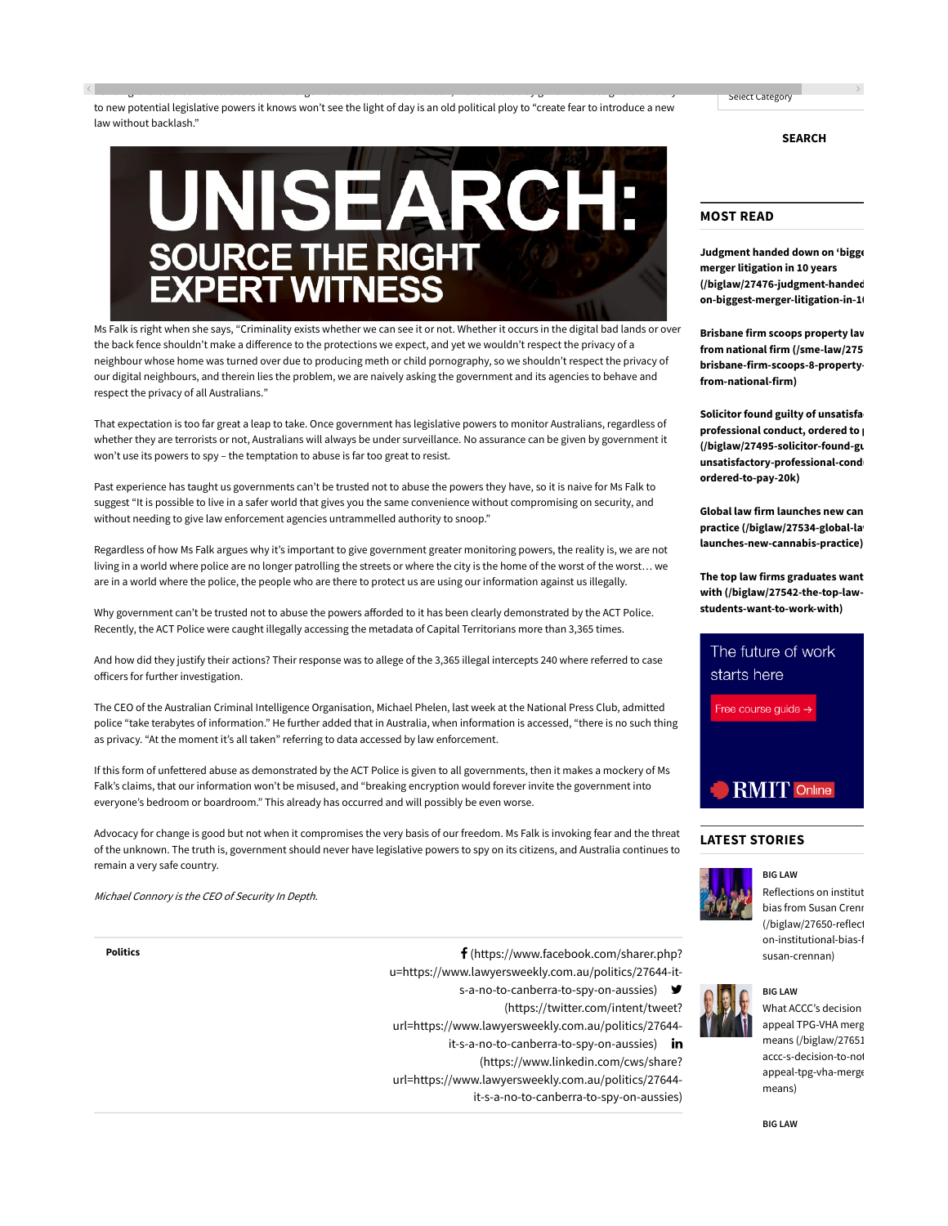to new potential legislative powers it knows won't see the light of day is an old political ploy to "create fear to introduce a new law without backlash."

Handing over all that we value based on an argument full of fear and emotion, manufactured by government to give credibility

ки просторожение производство на селото на селото на селото на селото на селото на селото на селото на селото н<br>Населението на селото на селото на селото на селото на селото на селото на селото на селото на селото на село

# JNISEARCH **SOURCE THE RIGHT**

Ms Falk is right when she says, "Criminality exists whether we can see it or not. Whether it occurs in the digital bad lands or over the back fence shouldn't make a difference to the protections we expect, and yet we wouldn't respect the privacy of a neighbour whose home was turned over due to producing meth or child pornography, so we shouldn't respect the privacy of our digital neighbours, and therein lies the problem, we are naively asking the government and its agencies to behave and respect the privacy of all Australians."

That expectation is too far great a leap to take. Once government has legislative powers to monitor Australians, regardless of whether they are terrorists or not, Australians will always be under surveillance. No assurance can be given by government it won't use its powers to spy – the temptation to abuse is far too great to resist.

Past experience has taught us governments can't be trusted not to abuse the powers they have, so it is naive for Ms Falk to suggest "It is possible to live in a safer world that gives you the same convenience without compromising on security, and without needing to give law enforcement agencies untrammelled authority to snoop."

Regardless of how Ms Falk argues why it's important to give government greater monitoring powers, the reality is, we are not living in a world where police are no longer patrolling the streets or where the city is the home of the worst of the worst… we are in a world where the police, the people who are there to protect us are using our information against us illegally.

Why government can't be trusted not to abuse the powers afforded to it has been clearly demonstrated by the ACT Police. Recently, the ACT Police were caught illegally accessing the metadata of Capital Territorians more than 3,365 times.

And how did they justify their actions? Their response was to allege of the 3,365 illegal intercepts 240 where referred to case officers for further investigation.

The CEO of the Australian Criminal Intelligence Organisation, Michael Phelen, last week at the National Press Club, admitted police "take terabytes of information." He further added that in Australia, when information is accessed, "there is no such thing as privacy. "At the moment it's all taken" referring to data accessed by law enforcement.

If this form of unfettered abuse as demonstrated by the ACT Police is given to all governments, then it makes a mockery of Ms Falk's claims, that our information won't be misused, and "breaking encryption would forever invite the government into everyone's bedroom or boardroom." This already has occurred and will possibly be even worse.

Advocacy for change is good but not when it compromises the very basis of our freedom. Ms Falk is invoking fear and the threat of the unknown. The truth is, government should never have legislative powers to spy on its citizens, and Australia continues to remain a very safe country.

Michael Connory is the CEO of Security In Depth.

Politics **(a)** Politics **(a)** Politics **(a)** Politics **(a)** Politics **(a)** Politics **(a)** Politics **(a)** Politics **(a)** Politics **(a)** Politics **(a)** Politics **(a)** Politics **(a)** Politics **(a)** Politics **(a)** Politics **(a** u=https://www.lawyersweekly.com.au/politics/27644-it-

s-a-no-to-canberra-to-spy-on-aussies)

(https://twitter.com/intent/tweet?

url=https://www.lawyersweekly.com.au/politics/27644-

it-s-a-no-to-canberra-to-spy-on-aussies) in

(https://www.linkedin.com/cws/share?

url=https://www.lawyersweekly.com.au/politics/27644-

it-s-a-no-to-canberra-to-spy-on-aussies)

SEARCH

### MOST READ

Select Category

Judgment handed down on 'bigge merger litigation in 10 years (/biglaw/27476-judgment-handed on-biggest-merger-litigation-in-10

Brisbane firm scoops property lav from national firm (/sme-law/275) brisbane-firm-scoops-8-propertyfrom-national-firm)

Solicitor found guilty of unsatisfa professional conduct, ordered to  $p$ (/biglaw/27495-solicitor-found-gu unsatisfactory-professional-cond ordered-to-pay-20k)

Global law firm launches new can practice (/biglaw/27534-global-la launches-new-cannabis-practice)

The top law firms graduates want with (/biglaw/27542-the-top-lawstudents-want-to-work-with)



## LATEST STORIES



BIG LAW Reflections on institut bias from Susan Crenn (/biglaw/27650-reflect on-institutional-bias-f susan-crennan)





BIG LAW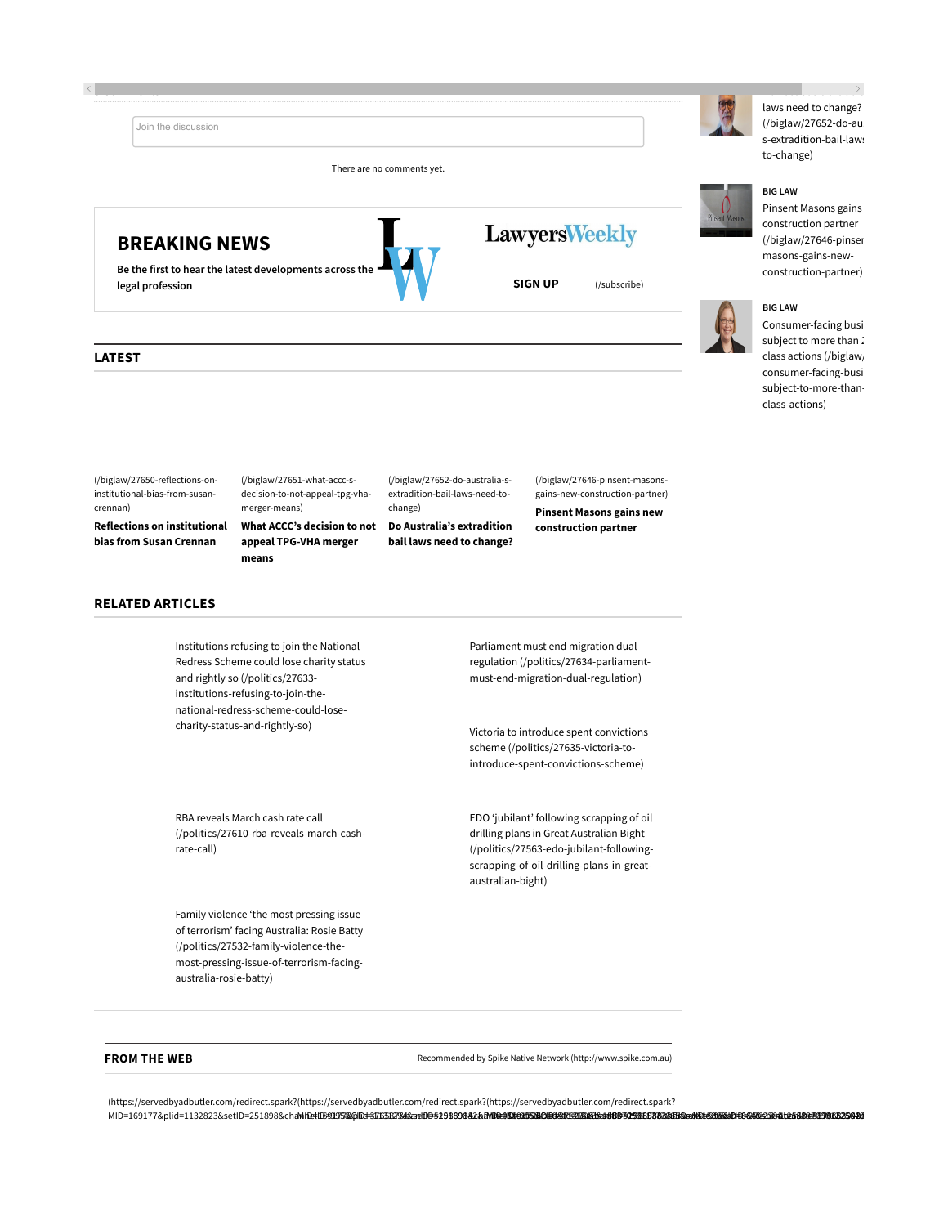





**LawyersWeekly** 

### LATEST

(/biglaw/27650-reflections-oninstitutional-bias-from-susancrennan)

Reflections on institutional bias from Susan Crennan

(/biglaw/27651-what-accc-sdecision-to-not-appeal-tpg-vhamerger-means)

What ACCC's decision to not appeal TPG-VHA merger means

(/biglaw/27652-do-australia-sextradition-bail-laws-need-tochange)

Do Australia's extradition bail laws need to change?

(/biglaw/27646-pinsent-masonsgains-new-construction-partner)

Pinsent Masons gains new construction partner

laws need to change?  $(Ib$ iglaw/27652-do-au s-extradition-bail-laws to-change)

Do Australia's extradition bail

#### BIG LAW

Pinsent Masons gains construction partner (/biglaw/27646-pinser masons-gains-newconstruction-partner)



## Consumer-facing busi

subject to more than 2 class actions (/biglaw/ consumer-facing-busi subject-to-more-thanclass-actions)

#### RELATED ARTICLES

Institutions refusing to join the National Redress Scheme could lose charity status and rightly so (/politics/27633 institutions-refusing-to-join-thenational-redress-scheme-could-losecharity-status-and-rightly-so)

RBA reveals March cash rate call (/politics/27610-rba-reveals-march-cashrate-call)

Family violence 'the most pressing issue of terrorism' facing Australia: Rosie Batty (/politics/27532-family-violence-themost-pressing-issue-of-terrorism-facingaustralia-rosie-batty)

Parliament must end migration dual regulation (/politics/27634-parliamentmust-end-migration-dual-regulation)

Victoria to introduce spent convictions scheme (/politics/27635-victoria-tointroduce-spent-convictions-scheme)

EDO 'jubilant' following scrapping of oil drilling plans in Great Australian Bight (/politics/27563-edo-jubilant-followingscrapping-of-oil-drilling-plans-in-greataustralian-bight)

FROM THE WEB **Recommended** by Spike Native Network (http://www.spike.com.au)

(https://servedbyadbutler.com/redirect.spark? (https://servedbyadbutler.com/redirect.spark? (https://servedbyadbutler.com/redirect.spark? MID=169177&plid=1132823&setID=251898&channelID=995&CID=376587&banID=519869142&PID=0&textadID=0&tc=1&mt=1583709811777665&sw=1536&sh=864&spr=1.25&hc=870c52502de380f8c7a666c228e3cf56ec5960c5&location=) MID=169177&plid=1131294&setID=251898&channelID=995&CID=376239&banID=519868303&PID=0&textadID=0&tc=1&mt=1583709812256401&sw=1536&sh=864&spr=1.25&hc=d2ee75a11ff325d0a8f3f891906d101b13c6416e&location=) MID=169177&plid=1131313&setID=251898&channelID=995&CID=376238&banID=519868304&PID=0&textadID=0&tc=1&mt=1583709812418114&sw=1536&sh=864&spr=1.25&hc=1644438c25ad6a26169994ffc5edc76283b78377&location=)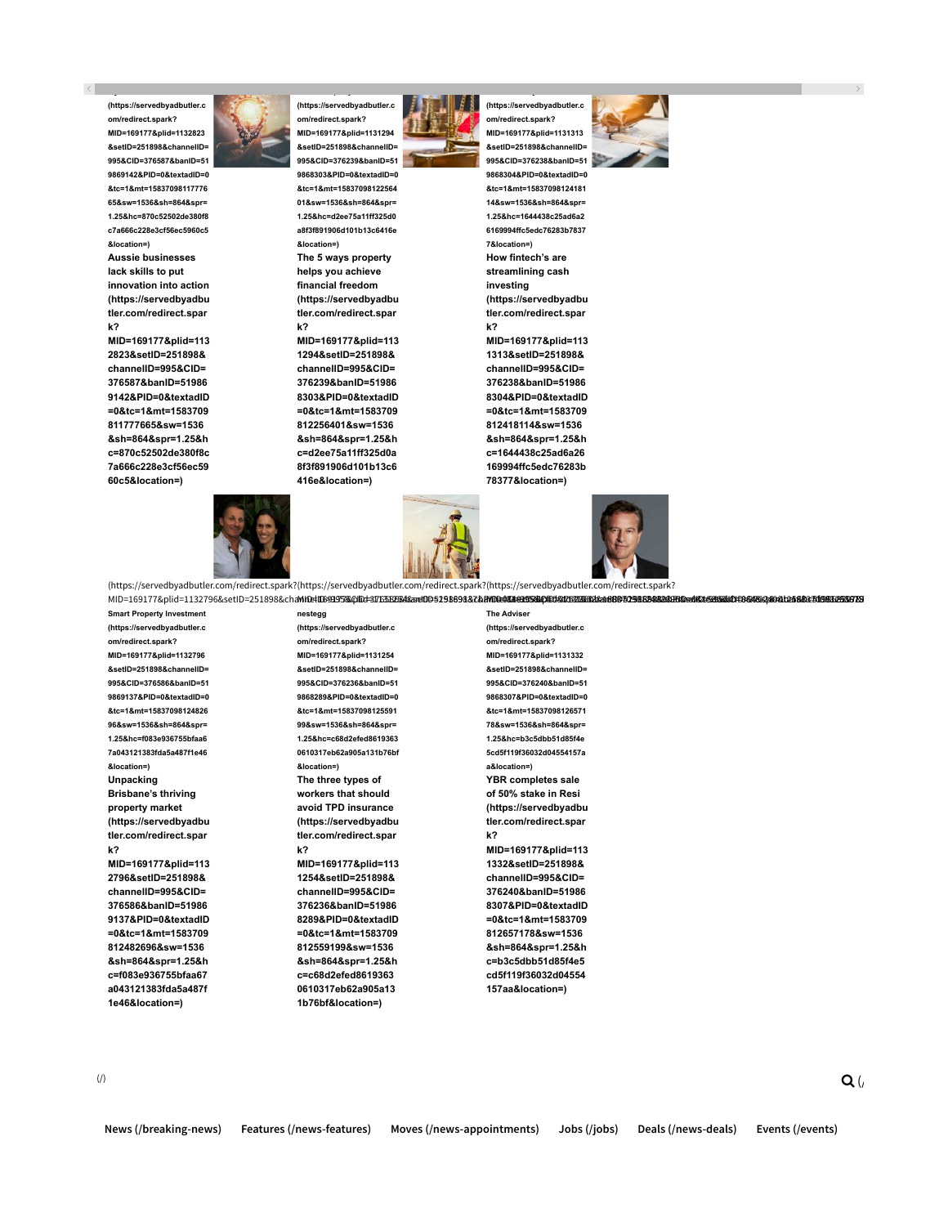(https://servedbyadbutler.c om/redirect.spark? MID=169177&plid=1132823 &setID=251898&channelID= 995&CID=376587&banID=51 9869142&PID=0&textadID=0 &tc=1&mt=15837098117776 65&sw=1536&sh=864&spr= 1.25&hc=870c52502de380f8 c7a666c228e3cf56ec5960c5 &location=) Aussie businesses

lack skills to put innovation into action (https://servedbyadbu tler.com/redirect.spar k?

MID=169177&plid=113 2823&setID=251898& channelID=995&CID= 376587&banID=51986 9142&PID=0&textadID =0&tc=1&mt=1583709 811777665&sw=1536 &sh=864&spr=1.25&h c=870c52502de380f8c 7a666c228e3cf56ec59 60c5&location=)



(https://servedbyadbutler.c om/redirect.spark? MID=169177&plid=1131294 &setID=251898&channelID= 995&CID=376239&banID=51 9868303&PID=0&textadID=0

&tc=1&mt=15837098122564 01&sw=1536&sh=864&spr= 1.25&hc=d2ee75a11ff325d0 a8f3f891906d101b13c6416e &location=) The 5 ways property helps you achieve financial freedom (https://servedbyadbu tler.com/redirect.spar k?

MID=169177&plid=113 1294&setID=251898& channelID=995&CID= 376239&banID=51986 8303&PID=0&textadID =0&tc=1&mt=1583709 812256401&sw=1536 &sh=864&spr=1.25&h c=d2ee75a11ff325d0a 8f3f891906d101b13c6 416e&location=)



(https://servedbyadbutler.c MID=169177&plid=1131313 &setID=251898&channelID= 995&CID=376238&banID=51

9868304&PID=0&textadID=0 &tc=1&mt=15837098124181 14&sw=1536&sh=864&spr= 1.25&hc=1644438c25ad6a2 6169994ffc5edc76283b7837 7&location=) How fintech's are streamlining cash investing (https://servedbyadbu tler.com/redirect.spar k? MID=169177&plid=113

om/redirect.spark?

1313&setID=251898& channelID=995&CID= 376238&banID=51986 8304&PID=0&textadID =0&tc=1&mt=1583709 812418114&sw=1536 &sh=864&spr=1.25&h c=1644438c25ad6a26 169994ffc5edc76283b 78377&location=)



(https://servedbyadbutler.com/redirect.spark? (https://servedbyadbutler.com/redirect.spark? (https://servedbyadbutler.com/redirect.spark? MID=169177&plid=1132796&setID=251898&channelID=995&CID=376586&banID=519869137&PID=0&textadID=0&tc=1&mt=1583709812482696&sw=1536&sh=864&spr=1.25&hc=f083e936755bfaa67a043121383fda5a487f1e46&location=) MID=169177&plid=1131254&setID=251898&channelID=995&CID=376236&banID=519868289&PID=0&textadID=0&tc=1&mt=1583709812559199&sw=1536&sh=864&spr=1.25&hc=c68d2efed86193630610317eb62a905a131b76bf&location=) MID=169177&plid=1131332&setID=251898&channelID=995&CID=376240&banID=519868307&PID=0&textadID=0&tc=1&mt=1583709812657178&sw=1536&sh=864&spr=1.25&hc=b3c5dbb51d85f4e5cd5f119f36032d04554157aa&location=)

Smart Property Investment (https://servedbyadbutler.c om/redirect.spark? MID=169177&plid=1132796 &setID=251898&channelID= 995&CID=376586&banID=51 9869137&PID=0&textadID=0 &tc=1&mt=15837098124826 96&sw=1536&sh=864&spr= 1.25&hc=f083e936755bfaa6 7a043121383fda5a487f1e46 &location=) Unpacking Brisbane's thriving property market (https://servedbyadbu tler.com/redirect.spar k? MID=169177&plid=113

2796&setID=251898& channelID=995&CID= 376586&banID=51986 9137&PID=0&textadID =0&tc=1&mt=1583709 812482696&sw=1536 &sh=864&spr=1.25&h c=f083e936755bfaa67 a043121383fda5a487f 1e46&location=)

nestegg (https://servedbyadbutler.c om/redirect.spark? MID=169177&plid=1131254 &setID=251898&channelID= 995&CID=376236&banID=51 9868289&PID=0&textadID=0 &tc=1&mt=15837098125591 99&sw=1536&sh=864&spr= 1.25&hc=c68d2efed8619363 0610317eb62a905a131b76bf &location=) The three types of workers that should avoid TPD insurance (https://servedbyadbu tler.com/redirect.spar k?

MID=169177&plid=113 1254&setID=251898& channelID=995&CID= 376236&banID=51986 8289&PID=0&textadID =0&tc=1&mt=1583709 812559199&sw=1536 &sh=864&spr=1.25&h c=c68d2efed8619363 0610317eb62a905a13 1b76bf&location=)

The Adviser (https://servedbyadbutler.c om/redirect.spark? MID=169177&plid=1131332 &setID=251898&channelID= &tc=1&mt=15837098126571 1.25&hc=b3c5dbb51d85f4e 5cd5f119f36032d04554157a a&location=) YBR completes sale k? MID=169177&plid=113 1332&setID=251898& channelID=995&CID= 376240&banID=51986 8307&PID=0&textadID =0&tc=1&mt=1583709 812657178&sw=1536 &sh=864&spr=1.25&h



of 50% stake in Resi (https://servedbyadbu tler.com/redirect.spar

c=b3c5dbb51d85f4e5 cd5f119f36032d04554 157aa&location=)